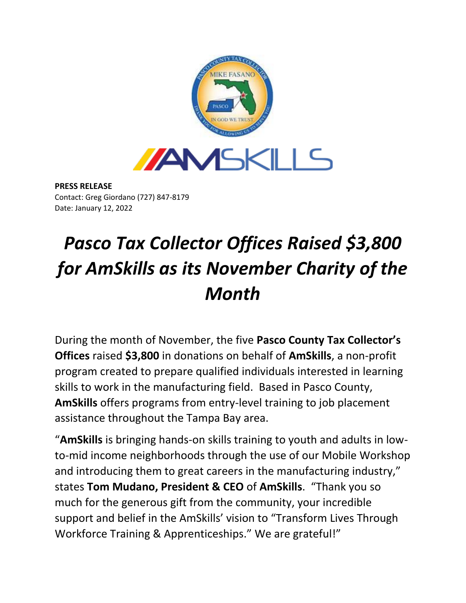

**PRESS RELEASE** Contact: Greg Giordano (727) 847-8179 Date: January 12, 2022

## *Pasco Tax Collector Offices Raised \$3,800 for AmSkills as its November Charity of the Month*

During the month of November, the five **Pasco County Tax Collector's Offices** raised **\$3,800** in donations on behalf of **AmSkills**, a non-profit program created to prepare qualified individuals interested in learning skills to work in the manufacturing field. Based in Pasco County, **AmSkills** offers programs from entry-level training to job placement assistance throughout the Tampa Bay area.

"**AmSkills** is bringing hands-on skills training to youth and adults in lowto-mid income neighborhoods through the use of our Mobile Workshop and introducing them to great careers in the manufacturing industry," states **Tom Mudano, President & CEO** of **AmSkills**. "Thank you so much for the generous gift from the community, your incredible support and belief in the AmSkills' vision to "Transform Lives Through Workforce Training & Apprenticeships." We are grateful!"